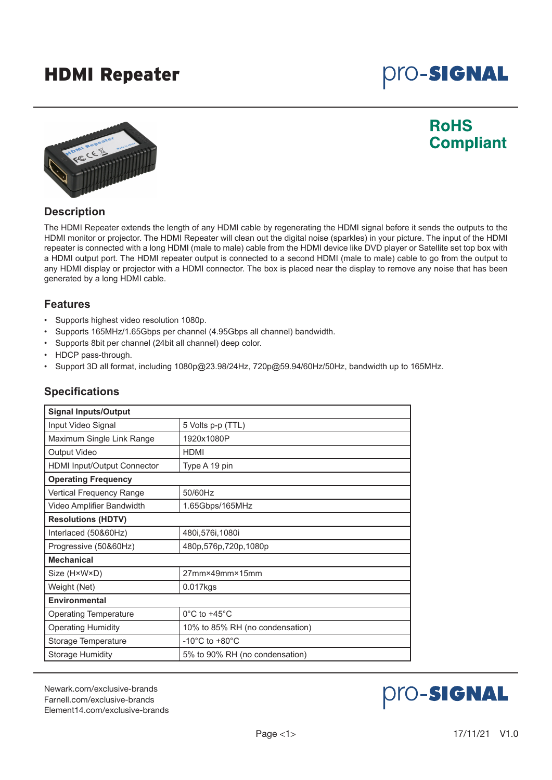## HDMI Repeater

# **pro-Signal**



### **RoHS Compliant**

#### **Description**

The HDMI Repeater extends the length of any HDMI cable by regenerating the HDMI signal before it sends the outputs to the HDMI monitor or projector. The HDMI Repeater will clean out the digital noise (sparkles) in your picture. The input of the HDMI repeater is connected with a long HDMI (male to male) cable from the HDMI device like DVD player or Satellite set top box with a HDMI output port. The HDMI repeater output is connected to a second HDMI (male to male) cable to go from the output to any HDMI display or projector with a HDMI connector. The box is placed near the display to remove any noise that has been generated by a long HDMI cable.

#### **Features**

- Supports highest video resolution 1080p.
- Supports 165MHz/1.65Gbps per channel (4.95Gbps all channel) bandwidth.
- Supports 8bit per channel (24bit all channel) deep color.
- HDCP pass-through.
- Support 3D all format, including 1080p@23.98/24Hz, 720p@59.94/60Hz/50Hz, bandwidth up to 165MHz.

| <b>Signal Inputs/Output</b>        |                                      |  |
|------------------------------------|--------------------------------------|--|
| Input Video Signal                 | 5 Volts p-p (TTL)                    |  |
| Maximum Single Link Range          | 1920x1080P                           |  |
| Output Video                       | <b>HDMI</b>                          |  |
| <b>HDMI Input/Output Connector</b> | Type A 19 pin                        |  |
| <b>Operating Frequency</b>         |                                      |  |
| Vertical Frequency Range           | 50/60Hz                              |  |
| Video Amplifier Bandwidth          | 1.65Gbps/165MHz                      |  |
| <b>Resolutions (HDTV)</b>          |                                      |  |
| Interlaced (50&60Hz)               | 480i, 576i, 1080i                    |  |
| Progressive (50&60Hz)              | 480p,576p,720p,1080p                 |  |
| <b>Mechanical</b>                  |                                      |  |
| Size (H×W×D)                       | 27mm×49mm×15mm                       |  |
| Weight (Net)                       | $0.017$ kgs                          |  |
| <b>Environmental</b>               |                                      |  |
| <b>Operating Temperature</b>       | $0^{\circ}$ C to +45 $^{\circ}$ C    |  |
| <b>Operating Humidity</b>          | 10% to 85% RH (no condensation)      |  |
| Storage Temperature                | -10 $^{\circ}$ C to +80 $^{\circ}$ C |  |
| <b>Storage Humidity</b>            | 5% to 90% RH (no condensation)       |  |